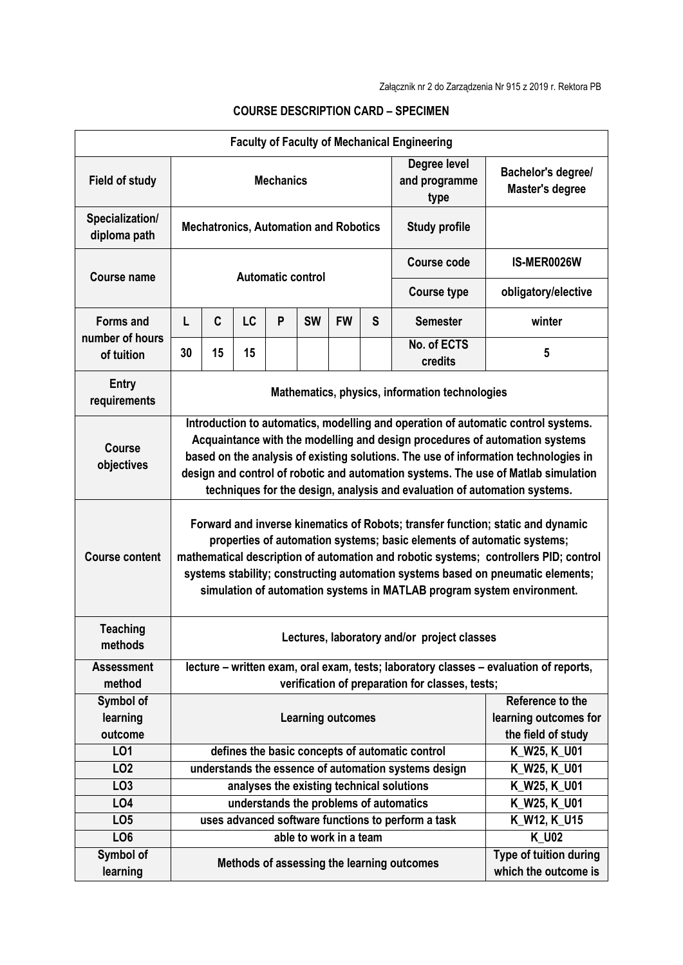|                                 |                                                                                                                                                                                                                                                                                                                                                                                                                            |                                                |           |   |                        |                       |                                       | <b>Faculty of Faculty of Mechanical Engineering</b>  |                                                |
|---------------------------------|----------------------------------------------------------------------------------------------------------------------------------------------------------------------------------------------------------------------------------------------------------------------------------------------------------------------------------------------------------------------------------------------------------------------------|------------------------------------------------|-----------|---|------------------------|-----------------------|---------------------------------------|------------------------------------------------------|------------------------------------------------|
| <b>Field of study</b>           | <b>Mechanics</b>                                                                                                                                                                                                                                                                                                                                                                                                           |                                                |           |   |                        |                       | Degree level<br>and programme<br>type | Bachelor's degree/<br>Master's degree                |                                                |
| Specialization/<br>diploma path | <b>Mechatronics, Automation and Robotics</b><br><b>Study profile</b>                                                                                                                                                                                                                                                                                                                                                       |                                                |           |   |                        |                       |                                       |                                                      |                                                |
| Course name                     | Automatic control                                                                                                                                                                                                                                                                                                                                                                                                          |                                                |           |   |                        |                       |                                       | Course code                                          | IS-MER0026W                                    |
|                                 |                                                                                                                                                                                                                                                                                                                                                                                                                            |                                                |           |   |                        |                       |                                       | <b>Course type</b>                                   | obligatory/elective                            |
| <b>Forms and</b>                | L                                                                                                                                                                                                                                                                                                                                                                                                                          | C                                              | <b>LC</b> | P | <b>SW</b>              | <b>FW</b>             | S                                     | <b>Semester</b>                                      | winter                                         |
| number of hours<br>of tuition   | 30                                                                                                                                                                                                                                                                                                                                                                                                                         | 15                                             | 15        |   |                        |                       |                                       | No. of ECTS<br>credits                               | 5                                              |
| <b>Entry</b><br>requirements    |                                                                                                                                                                                                                                                                                                                                                                                                                            | Mathematics, physics, information technologies |           |   |                        |                       |                                       |                                                      |                                                |
| <b>Course</b><br>objectives     | Introduction to automatics, modelling and operation of automatic control systems.<br>Acquaintance with the modelling and design procedures of automation systems<br>based on the analysis of existing solutions. The use of information technologies in<br>design and control of robotic and automation systems. The use of Matlab simulation<br>techniques for the design, analysis and evaluation of automation systems. |                                                |           |   |                        |                       |                                       |                                                      |                                                |
| <b>Course content</b>           | Forward and inverse kinematics of Robots; transfer function; static and dynamic<br>properties of automation systems; basic elements of automatic systems;<br>mathematical description of automation and robotic systems; controllers PID; control<br>systems stability; constructing automation systems based on pneumatic elements;<br>simulation of automation systems in MATLAB program system environment.             |                                                |           |   |                        |                       |                                       |                                                      |                                                |
| <b>Teaching</b><br>methods      | Lectures, laboratory and/or project classes                                                                                                                                                                                                                                                                                                                                                                                |                                                |           |   |                        |                       |                                       |                                                      |                                                |
| <b>Assessment</b>               | lecture - written exam, oral exam, tests; laboratory classes - evaluation of reports,                                                                                                                                                                                                                                                                                                                                      |                                                |           |   |                        |                       |                                       |                                                      |                                                |
| method                          | verification of preparation for classes, tests;                                                                                                                                                                                                                                                                                                                                                                            |                                                |           |   |                        |                       |                                       |                                                      |                                                |
| Symbol of                       | <b>Learning outcomes</b>                                                                                                                                                                                                                                                                                                                                                                                                   |                                                |           |   | Reference to the       |                       |                                       |                                                      |                                                |
| learning                        |                                                                                                                                                                                                                                                                                                                                                                                                                            |                                                |           |   |                        | learning outcomes for |                                       |                                                      |                                                |
| outcome                         |                                                                                                                                                                                                                                                                                                                                                                                                                            |                                                |           |   |                        |                       |                                       |                                                      | the field of study                             |
| LO <sub>1</sub>                 |                                                                                                                                                                                                                                                                                                                                                                                                                            |                                                |           |   |                        |                       |                                       | defines the basic concepts of automatic control      | K_W25, K_U01                                   |
| LO <sub>2</sub>                 |                                                                                                                                                                                                                                                                                                                                                                                                                            |                                                |           |   |                        |                       |                                       | understands the essence of automation systems design | K_W25, K_U01                                   |
| LO <sub>3</sub>                 |                                                                                                                                                                                                                                                                                                                                                                                                                            |                                                |           |   |                        |                       |                                       | analyses the existing technical solutions            | K_W25, K_U01                                   |
| LO <sub>4</sub>                 |                                                                                                                                                                                                                                                                                                                                                                                                                            |                                                |           |   |                        |                       |                                       | understands the problems of automatics               | K_W25, K_U01                                   |
| LO <sub>5</sub>                 |                                                                                                                                                                                                                                                                                                                                                                                                                            |                                                |           |   |                        |                       |                                       | uses advanced software functions to perform a task   | K_W12, K_U15                                   |
| LO <sub>6</sub>                 |                                                                                                                                                                                                                                                                                                                                                                                                                            |                                                |           |   | able to work in a team |                       |                                       |                                                      | <b>K U02</b>                                   |
| Symbol of<br>learning           |                                                                                                                                                                                                                                                                                                                                                                                                                            |                                                |           |   |                        |                       |                                       | Methods of assessing the learning outcomes           | Type of tuition during<br>which the outcome is |

## **COURSE DESCRIPTION CARD – SPECIMEN**